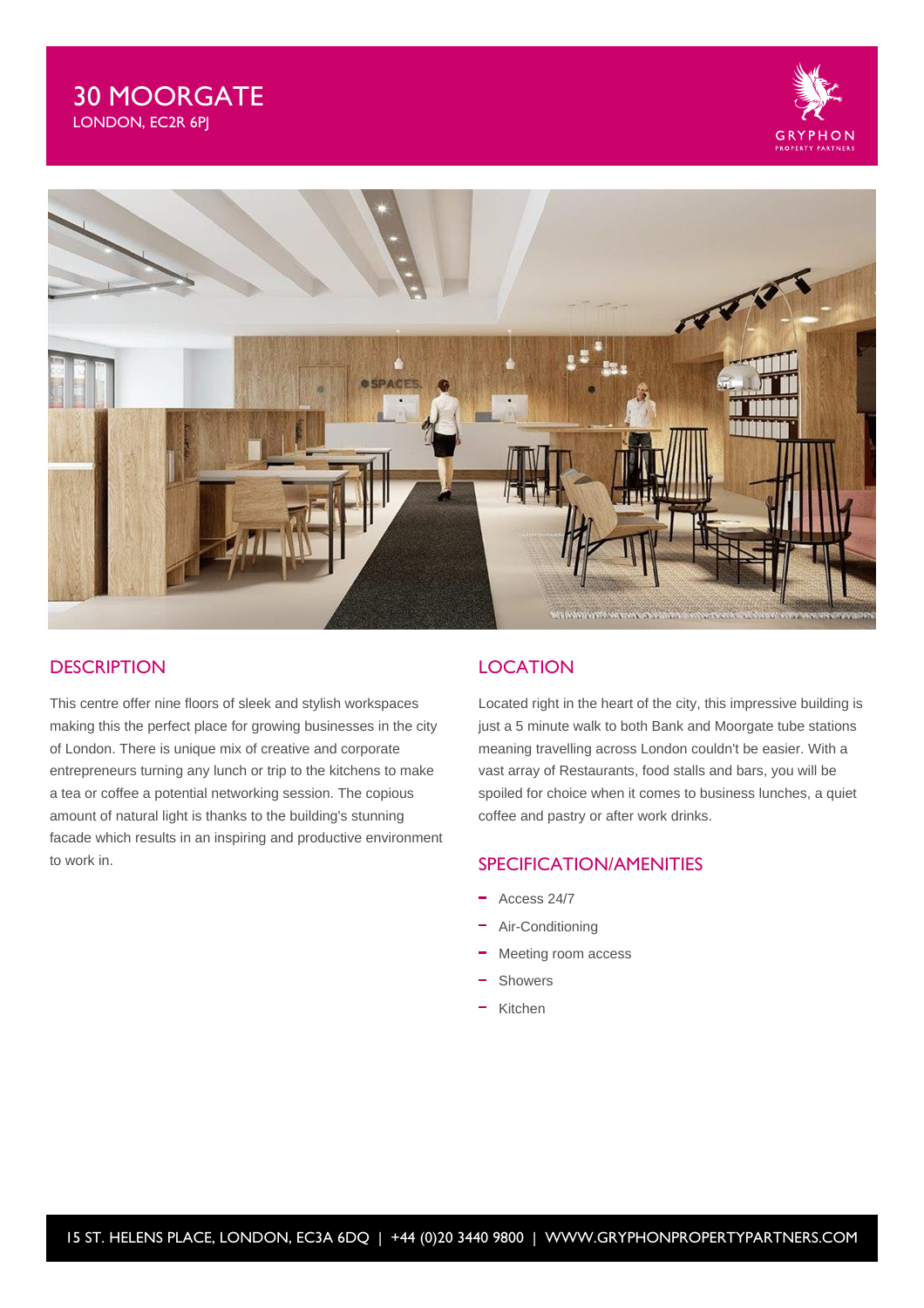# 30 MOORGATE LONDON, EC2R 6PJ





## **DESCRIPTION**

This centre offer nine floors of sleek and stylish workspaces making this the perfect place for growing businesses in the city of London. There is unique mix of creative and corporate entrepreneurs turning any lunch or trip to the kitchens to make a tea or coffee a potential networking session. The copious amount of natural light is thanks to the building's stunning facade which results in an inspiring and productive environment to work in.

## **LOCATION**

Located right in the heart of the city, this impressive building is just a 5 minute walk to both Bank and Moorgate tube stations meaning travelling across London couldn't be easier. With a vast array of Restaurants, food stalls and bars, you will be spoiled for choice when it comes to business lunches, a quiet coffee and pastry or after work drinks.

## SPECIFICATION/AMENITIES

- $-$  Access 24/7
- Air-Conditioning
- Meeting room access
- Showers
- Kitchen